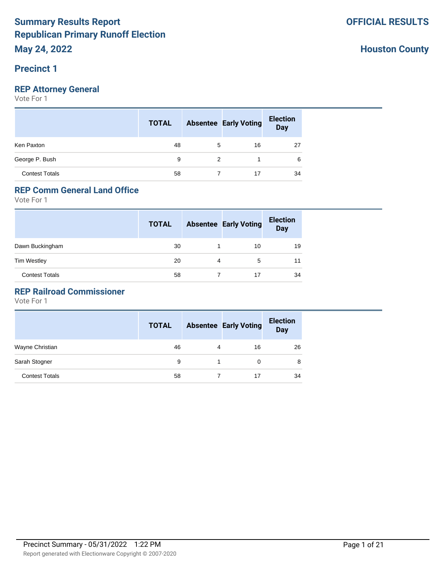### **Precinct 1**

## **REP Attorney General**

Vote For 1

|                       | <b>TOTAL</b> |   | <b>Absentee Early Voting</b> | <b>Election</b><br>Day |
|-----------------------|--------------|---|------------------------------|------------------------|
| Ken Paxton            | 48           | 5 | 16                           | 27                     |
| George P. Bush        | 9            | 2 |                              | 6                      |
| <b>Contest Totals</b> | 58           |   |                              | 34                     |

# **REP Comm General Land Office**

Vote For 1

|                       | <b>TOTAL</b> |   | <b>Absentee Early Voting</b> | <b>Election</b><br><b>Day</b> |
|-----------------------|--------------|---|------------------------------|-------------------------------|
| Dawn Buckingham       | 30           |   | 10                           | 19                            |
| <b>Tim Westley</b>    | 20           | 4 | 5                            | 11                            |
| <b>Contest Totals</b> | 58           |   | 17                           | 34                            |

### **REP Railroad Commissioner**

|                       | <b>TOTAL</b> |   | <b>Absentee Early Voting</b> | <b>Election</b><br><b>Day</b> |
|-----------------------|--------------|---|------------------------------|-------------------------------|
| Wayne Christian       | 46           | 4 | 16                           | 26                            |
| Sarah Stogner         | 9            |   | 0                            | 8                             |
| <b>Contest Totals</b> | 58           |   | 17                           | 34                            |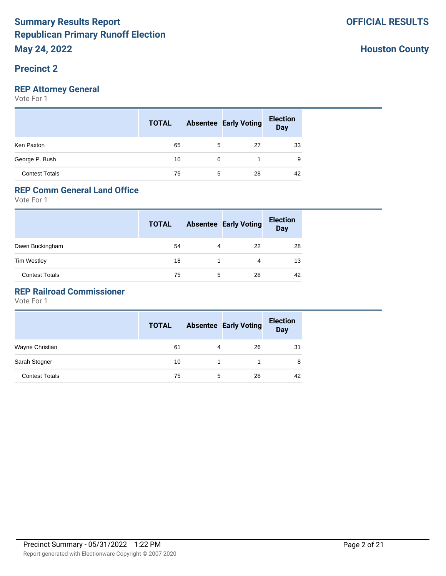# **Precinct 2**

## **REP Attorney General**

Vote For 1

|                       | <b>TOTAL</b> |          | <b>Absentee Early Voting</b> | <b>Election</b><br><b>Day</b> |
|-----------------------|--------------|----------|------------------------------|-------------------------------|
| Ken Paxton            | 65           | 5        | 27                           | 33                            |
| George P. Bush        | 10           | $\Omega$ |                              | 9                             |
| <b>Contest Totals</b> | 75           | 5        | 28                           | 42                            |

# **REP Comm General Land Office**

Vote For 1

|                       | <b>TOTAL</b> |   | <b>Absentee Early Voting</b> | <b>Election</b><br><b>Day</b> |
|-----------------------|--------------|---|------------------------------|-------------------------------|
| Dawn Buckingham       | 54           | 4 | 22                           | 28                            |
| <b>Tim Westley</b>    | 18           |   | 4                            | 13                            |
| <b>Contest Totals</b> | 75           | 5 | 28                           | 42                            |

### **REP Railroad Commissioner**

|                       | <b>TOTAL</b> |   | <b>Absentee Early Voting</b> | <b>Election</b><br><b>Day</b> |
|-----------------------|--------------|---|------------------------------|-------------------------------|
| Wayne Christian       | 61           | 4 | 26                           | 31                            |
| Sarah Stogner         | 10           |   |                              | 8                             |
| <b>Contest Totals</b> | 75           | 5 | 28                           | 42                            |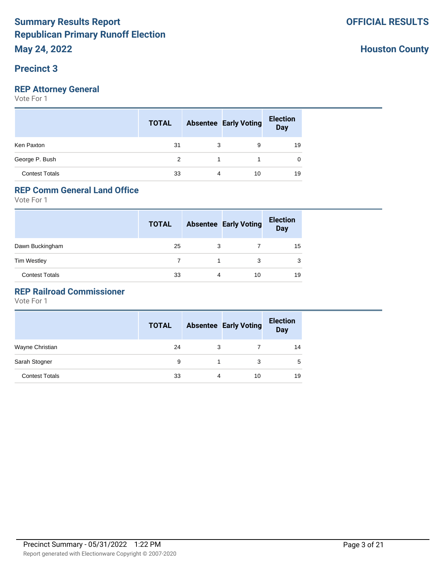### **Precinct 3**

## **REP Attorney General**

Vote For 1

|                       | <b>TOTAL</b>  |   | <b>Absentee Early Voting</b> | <b>Election</b><br>Day |
|-----------------------|---------------|---|------------------------------|------------------------|
| Ken Paxton            | 31            | 3 | 9                            | 19                     |
| George P. Bush        | $\mathcal{P}$ |   | $\mathbf 1$ and $\mathbf 1$  | 0                      |
| <b>Contest Totals</b> | 33            | 4 | 10                           | 19                     |

# **REP Comm General Land Office**

Vote For 1

|                       | <b>TOTAL</b> |   | <b>Absentee Early Voting</b> | <b>Election</b><br><b>Day</b> |
|-----------------------|--------------|---|------------------------------|-------------------------------|
| Dawn Buckingham       | 25           | 3 |                              | 15                            |
| <b>Tim Westley</b>    |              |   | 3                            | 3                             |
| <b>Contest Totals</b> | 33           | 4 | 10                           | 19                            |

### **REP Railroad Commissioner**

|                       | <b>TOTAL</b> |   | <b>Absentee Early Voting</b> | <b>Election</b><br><b>Day</b> |
|-----------------------|--------------|---|------------------------------|-------------------------------|
| Wayne Christian       | 24           | 3 |                              | 14                            |
| Sarah Stogner         | 9            |   | 3                            | 5                             |
| <b>Contest Totals</b> | 33           | 4 | 10                           | 19                            |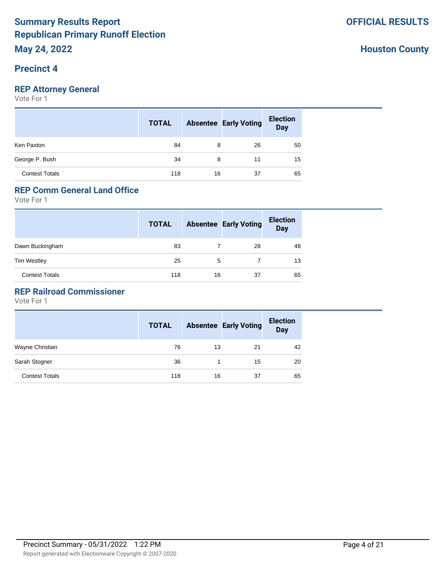### **Precinct 4**

## **REP Attorney General**

Vote For 1

|                       | <b>TOTAL</b> |    | <b>Absentee Early Voting</b> | <b>Election</b><br><b>Day</b> |
|-----------------------|--------------|----|------------------------------|-------------------------------|
| Ken Paxton            | 84           | 8  | 26                           | 50                            |
| George P. Bush        | 34           | 8  | 11                           | 15                            |
| <b>Contest Totals</b> | 118          | 16 | 37                           | 65                            |

## **REP Comm General Land Office**

Vote For 1

|                       | <b>TOTAL</b> |    | <b>Absentee Early Voting</b> | <b>Election</b><br><b>Day</b> |
|-----------------------|--------------|----|------------------------------|-------------------------------|
| Dawn Buckingham       | 83           |    | 28                           | 48                            |
| <b>Tim Westley</b>    | 25           | 5  |                              | 13                            |
| <b>Contest Totals</b> | 118          | 16 | 37                           | 65                            |

### **REP Railroad Commissioner**

|                       | <b>TOTAL</b> |    | <b>Absentee Early Voting</b> | <b>Election</b><br><b>Day</b> |
|-----------------------|--------------|----|------------------------------|-------------------------------|
| Wayne Christian       | 76           | 13 | 21                           | 42                            |
| Sarah Stogner         | 36           |    | 15                           | 20                            |
| <b>Contest Totals</b> | 118          | 16 | 37                           | 65                            |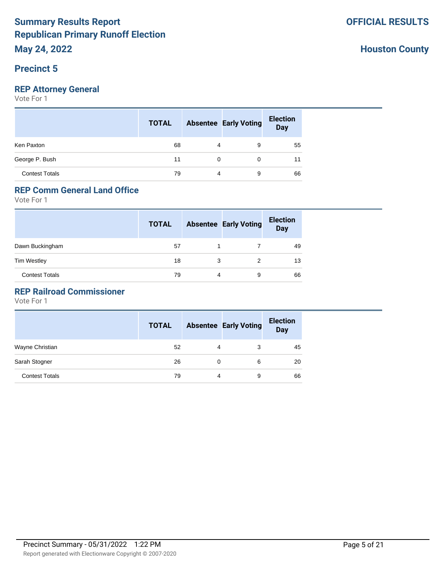#### **Precinct 5**

## **REP Attorney General**

Vote For 1

|                       | <b>TOTAL</b> |          | <b>Absentee Early Voting</b> | <b>Election</b><br>Day |
|-----------------------|--------------|----------|------------------------------|------------------------|
| Ken Paxton            | 68           | 4        | 9                            | 55                     |
| George P. Bush        | 11           | $\Omega$ | 0                            | 11                     |
| <b>Contest Totals</b> | 79           | 4        | 9                            | 66                     |

# **REP Comm General Land Office**

Vote For 1

|                       | <b>TOTAL</b> |   | <b>Absentee Early Voting</b> | <b>Election</b><br><b>Day</b> |
|-----------------------|--------------|---|------------------------------|-------------------------------|
| Dawn Buckingham       | 57           |   |                              | 49                            |
| <b>Tim Westley</b>    | 18           | 3 |                              | 13                            |
| <b>Contest Totals</b> | 79           | 4 | 9                            | 66                            |

### **REP Railroad Commissioner**

|                       | <b>TOTAL</b> |   | <b>Absentee Early Voting</b> | <b>Election</b><br><b>Day</b> |
|-----------------------|--------------|---|------------------------------|-------------------------------|
| Wayne Christian       | 52           | 4 | 3                            | 45                            |
| Sarah Stogner         | 26           | 0 | 6                            | 20                            |
| <b>Contest Totals</b> | 79           | 4 | 9                            | 66                            |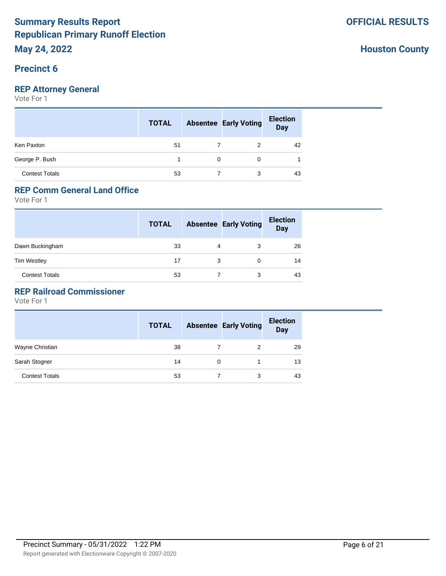### **Precinct 6**

## **REP Attorney General**

Vote For 1

|                       | <b>TOTAL</b> |          | <b>Absentee Early Voting</b> | <b>Election</b><br>Day |
|-----------------------|--------------|----------|------------------------------|------------------------|
| Ken Paxton            | 51           |          | 2                            | 42                     |
| George P. Bush        |              | $\Omega$ | $\Omega$                     |                        |
| <b>Contest Totals</b> | 53           |          | 3                            | 43                     |

# **REP Comm General Land Office**

Vote For 1

|                       | <b>TOTAL</b> |   | <b>Absentee Early Voting</b> | <b>Election</b><br><b>Day</b> |
|-----------------------|--------------|---|------------------------------|-------------------------------|
| Dawn Buckingham       | 33           | 4 | 3                            | 26                            |
| <b>Tim Westley</b>    | 17           | 3 | 0                            | 14                            |
| <b>Contest Totals</b> | 53           |   | 3                            | 43                            |

### **REP Railroad Commissioner**

Vote For 1

|                       | <b>TOTAL</b> | <b>Absentee Early Voting</b> | <b>Election</b><br><b>Day</b> |
|-----------------------|--------------|------------------------------|-------------------------------|
| Wayne Christian       | 38           | 2                            | 29                            |
| Sarah Stogner         | 14           |                              | 13                            |
| <b>Contest Totals</b> | 53           | 3                            | 43                            |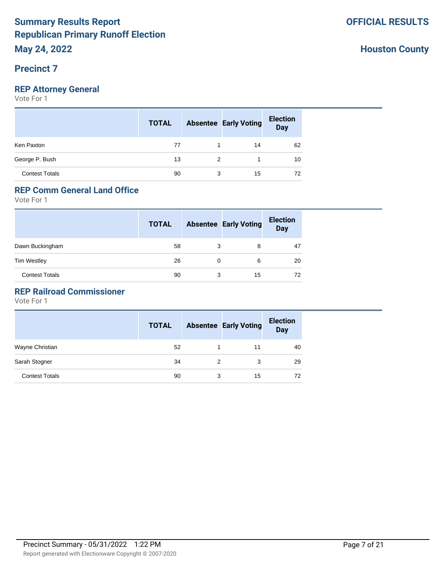# **Precinct 7**

## **REP Attorney General**

Vote For 1

|                       | <b>TOTAL</b> |   | <b>Absentee Early Voting</b> | <b>Election</b><br>Day |
|-----------------------|--------------|---|------------------------------|------------------------|
| Ken Paxton            | 77           |   | 14                           | 62                     |
| George P. Bush        | 13           | 2 |                              | 10                     |
| <b>Contest Totals</b> | 90           | 3 | 15                           | 72                     |

# **REP Comm General Land Office**

Vote For 1

|                       | <b>TOTAL</b> |   | <b>Absentee Early Voting</b> | <b>Election</b><br><b>Day</b> |
|-----------------------|--------------|---|------------------------------|-------------------------------|
| Dawn Buckingham       | 58           | 3 | 8                            | 47                            |
| <b>Tim Westley</b>    | 26           | 0 | 6                            | 20                            |
| <b>Contest Totals</b> | 90           | 3 | 15                           | 72                            |

### **REP Railroad Commissioner**

|                       | <b>TOTAL</b> |   | <b>Absentee Early Voting</b> | <b>Election</b><br><b>Day</b> |
|-----------------------|--------------|---|------------------------------|-------------------------------|
| Wayne Christian       | 52           |   | 11                           | 40                            |
| Sarah Stogner         | 34           | 2 | 3                            | 29                            |
| <b>Contest Totals</b> | 90           | 3 | 15                           | 72                            |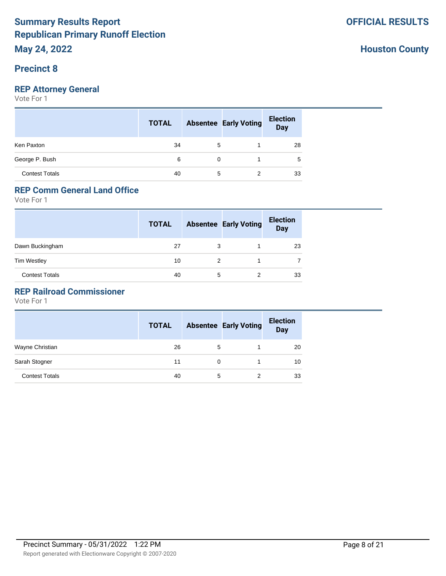### **Precinct 8**

## **REP Attorney General**

Vote For 1

|                       | <b>TOTAL</b> |          | <b>Absentee Early Voting</b> | <b>Election</b><br>Day |
|-----------------------|--------------|----------|------------------------------|------------------------|
| Ken Paxton            | 34           | 5        |                              | 28                     |
| George P. Bush        | 6            | $\Omega$ |                              | 5                      |
| <b>Contest Totals</b> | 40           | 5        | 2                            | 33                     |

# **REP Comm General Land Office**

Vote For 1

|                       | <b>TOTAL</b> |   | <b>Absentee Early Voting</b> | <b>Election</b><br><b>Day</b> |
|-----------------------|--------------|---|------------------------------|-------------------------------|
| Dawn Buckingham       | 27           | 3 |                              | 23                            |
| <b>Tim Westley</b>    | 10           | 2 |                              |                               |
| <b>Contest Totals</b> | 40           | 5 | 2                            | 33                            |

### **REP Railroad Commissioner**

|                       | <b>TOTAL</b> |          | <b>Absentee Early Voting</b> | <b>Election</b><br><b>Day</b> |
|-----------------------|--------------|----------|------------------------------|-------------------------------|
| Wayne Christian       | 26           | 5        |                              | 20                            |
| Sarah Stogner         | 11           | $\Omega$ |                              | 10                            |
| <b>Contest Totals</b> | 40           | 5        |                              | 33                            |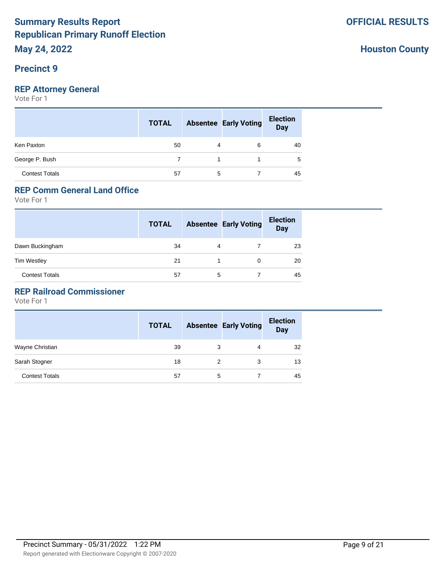# **Precinct 9**

## **REP Attorney General**

Vote For 1

|                       | <b>TOTAL</b> |   | <b>Absentee Early Voting</b> | <b>Election</b><br>Day |
|-----------------------|--------------|---|------------------------------|------------------------|
| Ken Paxton            | 50           | 4 | 6                            | 40                     |
| George P. Bush        |              |   | 1                            | 5                      |
| <b>Contest Totals</b> | 57           | 5 |                              | 45                     |

# **REP Comm General Land Office**

Vote For 1

|                       | <b>TOTAL</b> |   | <b>Absentee Early Voting</b> | <b>Election</b><br><b>Day</b> |
|-----------------------|--------------|---|------------------------------|-------------------------------|
| Dawn Buckingham       | 34           | 4 |                              | 23                            |
| <b>Tim Westley</b>    | 21           |   |                              | 20                            |
| <b>Contest Totals</b> | 57           | 5 |                              | 45                            |

### **REP Railroad Commissioner**

|                       | <b>TOTAL</b> |   | <b>Absentee Early Voting</b> | <b>Election</b><br><b>Day</b> |
|-----------------------|--------------|---|------------------------------|-------------------------------|
| Wayne Christian       | 39           | 3 | 4                            | 32                            |
| Sarah Stogner         | 18           |   | 3                            | 13                            |
| <b>Contest Totals</b> | 57           | 5 |                              | 45                            |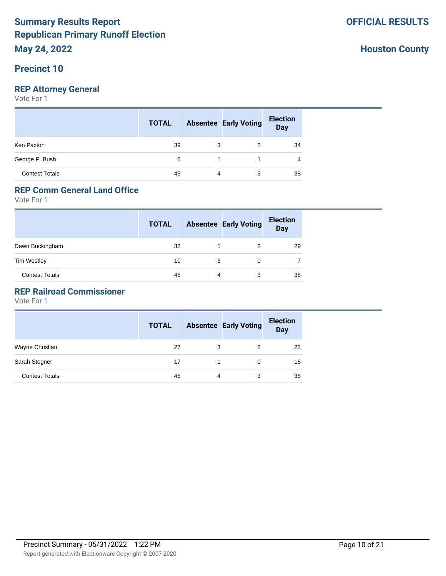### **Precinct 10**

## **REP Attorney General**

Vote For 1

|                       | <b>TOTAL</b> |    | <b>Absentee Early Voting</b> | <b>Election</b><br>Day |
|-----------------------|--------------|----|------------------------------|------------------------|
| Ken Paxton            | 39           | 3  |                              | 34                     |
| George P. Bush        | 6            | -1 |                              | 4                      |
| <b>Contest Totals</b> | 45           | 4  | 3                            | 38                     |

# **REP Comm General Land Office**

Vote For 1

|                       | <b>TOTAL</b> |   | <b>Absentee Early Voting</b> | <b>Election</b><br><b>Day</b> |
|-----------------------|--------------|---|------------------------------|-------------------------------|
| Dawn Buckingham       | 32           |   | 2                            | 29                            |
| <b>Tim Westley</b>    | 10           | 3 | 0                            |                               |
| <b>Contest Totals</b> | 45           | 4 | 3                            | 38                            |

### **REP Railroad Commissioner**

Vote For 1

|                       | <b>TOTAL</b> |   | <b>Absentee Early Voting</b> | <b>Election</b><br><b>Day</b> |
|-----------------------|--------------|---|------------------------------|-------------------------------|
| Wayne Christian       | 27           | 3 | 2                            | 22                            |
| Sarah Stogner         | 17           |   | $\Omega$                     | 16                            |
| <b>Contest Totals</b> | 45           | 4 | 3                            | 38                            |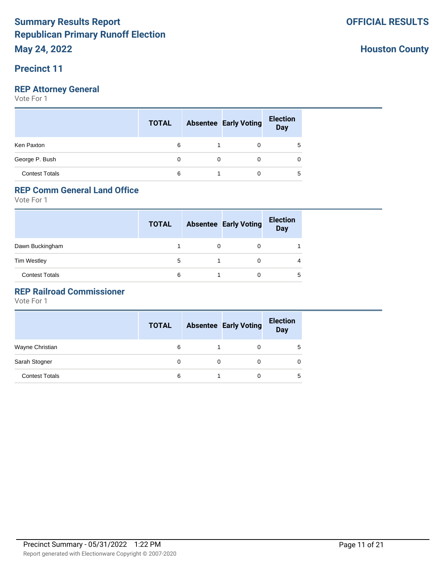### **Precinct 11**

## **REP Attorney General**

Vote For 1

|                       | <b>TOTAL</b> |          | <b>Absentee Early Voting</b> | <b>Election</b><br>Day |
|-----------------------|--------------|----------|------------------------------|------------------------|
| Ken Paxton            | 6            |          | 0                            | 5                      |
| George P. Bush        | 0            | $\Omega$ | 0                            | 0                      |
| <b>Contest Totals</b> | 6            |          | 0                            | 5                      |

# **REP Comm General Land Office**

Vote For 1

|                       | <b>TOTAL</b> |   | <b>Absentee Early Voting</b> | <b>Election</b><br><b>Day</b> |
|-----------------------|--------------|---|------------------------------|-------------------------------|
| Dawn Buckingham       |              | 0 |                              |                               |
| <b>Tim Westley</b>    | 5            |   |                              |                               |
| <b>Contest Totals</b> | 6            |   |                              | 5                             |

### **REP Railroad Commissioner**

Vote For 1

|                       | <b>TOTAL</b> |   | <b>Absentee Early Voting</b> | <b>Election</b><br>Day |
|-----------------------|--------------|---|------------------------------|------------------------|
| Wayne Christian       | 6            |   | 0                            |                        |
| Sarah Stogner         | 0            | 0 | O                            |                        |
| <b>Contest Totals</b> | 6            |   |                              |                        |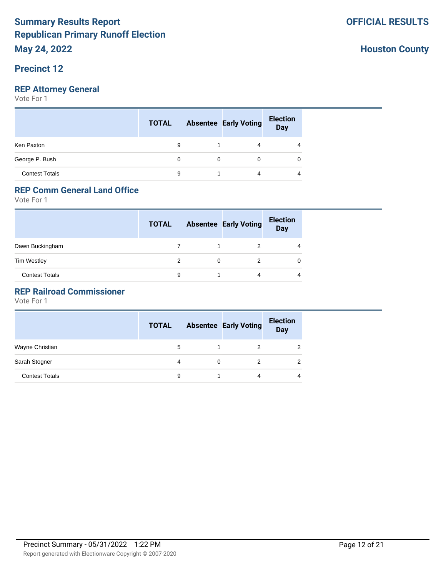### **Precinct 12**

## **REP Attorney General**

Vote For 1

|                       | <b>TOTAL</b> |          | <b>Absentee Early Voting</b> | <b>Election</b><br>Day |
|-----------------------|--------------|----------|------------------------------|------------------------|
| Ken Paxton            | 9            |          | 4                            | 4                      |
| George P. Bush        | $\Omega$     | $\Omega$ | 0                            | 0                      |
| <b>Contest Totals</b> | 9            |          | 4                            | 4                      |

# **REP Comm General Land Office**

Vote For 1

|                       | <b>TOTAL</b> |   | <b>Absentee Early Voting</b> | <b>Election</b><br><b>Day</b> |
|-----------------------|--------------|---|------------------------------|-------------------------------|
| Dawn Buckingham       |              |   |                              |                               |
| <b>Tim Westley</b>    |              | 0 |                              |                               |
| <b>Contest Totals</b> | 9            |   | 4                            |                               |

#### **REP Railroad Commissioner**

|                       | <b>TOTAL</b> |   | <b>Absentee Early Voting</b> | <b>Election</b><br><b>Day</b> |
|-----------------------|--------------|---|------------------------------|-------------------------------|
| Wayne Christian       | 5            | 1 | 2                            |                               |
| Sarah Stogner         | 4            | 0 |                              |                               |
| <b>Contest Totals</b> | 9            |   | 4                            | 4                             |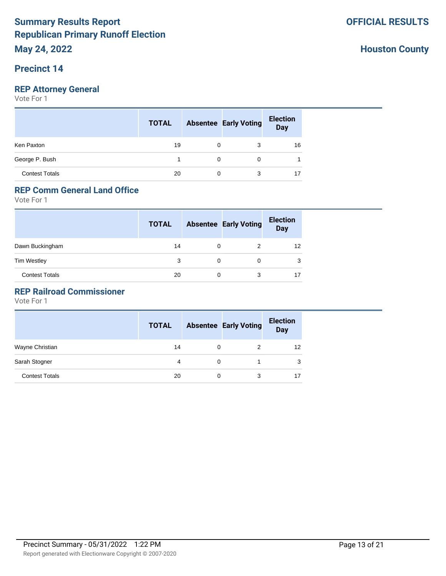### **Precinct 14**

## **REP Attorney General**

Vote For 1

|                       | <b>TOTAL</b> |          | <b>Absentee Early Voting</b> | <b>Election</b><br>Day |
|-----------------------|--------------|----------|------------------------------|------------------------|
| Ken Paxton            | 19           | 0        | 3                            | 16                     |
| George P. Bush        |              | $\Omega$ | 0                            |                        |
| <b>Contest Totals</b> | 20           | 0        | 3                            | 17                     |

# **REP Comm General Land Office**

Vote For 1

|                       | <b>TOTAL</b> |   | <b>Absentee Early Voting</b> | <b>Election</b><br><b>Day</b> |
|-----------------------|--------------|---|------------------------------|-------------------------------|
| Dawn Buckingham       | 14           | 0 |                              | 12                            |
| <b>Tim Westley</b>    | 3            | 0 |                              | 3                             |
| <b>Contest Totals</b> | 20           | 0 | 3                            | 17                            |

### **REP Railroad Commissioner**

|                       | <b>TOTAL</b> |   | <b>Absentee Early Voting</b> | <b>Election</b><br><b>Day</b> |
|-----------------------|--------------|---|------------------------------|-------------------------------|
| Wayne Christian       | 14           | 0 | 2                            | 12                            |
| Sarah Stogner         | 4            | 0 |                              | 3                             |
| <b>Contest Totals</b> | 20           | 0 | 3                            | 17                            |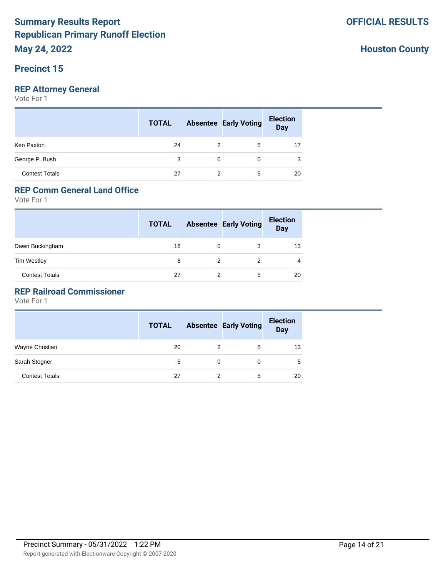### **Precinct 15**

## **REP Attorney General**

Vote For 1

|                       | <b>TOTAL</b> |          | <b>Absentee Early Voting</b> | <b>Election</b><br>Day |
|-----------------------|--------------|----------|------------------------------|------------------------|
| Ken Paxton            | 24           | 2        | 5                            | 17                     |
| George P. Bush        | 3            | $\Omega$ | 0                            | 3                      |
| <b>Contest Totals</b> | 27           |          | 5                            | 20                     |

# **REP Comm General Land Office**

Vote For 1

|                       | <b>TOTAL</b> |   | <b>Absentee Early Voting</b> | <b>Election</b><br><b>Day</b> |
|-----------------------|--------------|---|------------------------------|-------------------------------|
| Dawn Buckingham       | 16           | 0 | 3                            | 13                            |
| <b>Tim Westley</b>    | 8            |   |                              | 4                             |
| <b>Contest Totals</b> | 27           | 2 | 5                            | 20                            |

### **REP Railroad Commissioner**

Vote For 1

|                       | <b>TOTAL</b> |          | <b>Absentee Early Voting</b> | <b>Election</b><br><b>Day</b> |
|-----------------------|--------------|----------|------------------------------|-------------------------------|
| Wayne Christian       | 20           | 2        | 5                            | 13                            |
| Sarah Stogner         | 5            | $\Omega$ | 0                            | 5                             |
| <b>Contest Totals</b> | 27           |          | 5                            | 20                            |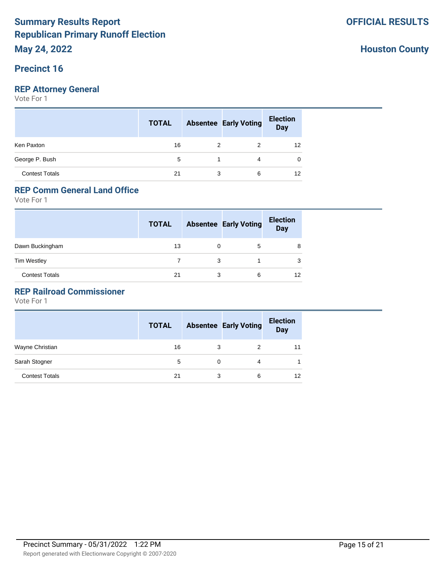### **Precinct 16**

## **REP Attorney General**

Vote For 1

|                       | <b>TOTAL</b> |    | <b>Absentee Early Voting</b> | <b>Election</b><br>Day |
|-----------------------|--------------|----|------------------------------|------------------------|
| Ken Paxton            | 16           | 2  | 2                            | 12                     |
| George P. Bush        | 5            | 1. | 4                            | 0                      |
| <b>Contest Totals</b> | 21           | 3  | 6                            | 12                     |

# **REP Comm General Land Office**

Vote For 1

|                       | <b>TOTAL</b> |   | <b>Absentee Early Voting</b> | <b>Election</b><br><b>Day</b> |
|-----------------------|--------------|---|------------------------------|-------------------------------|
| Dawn Buckingham       | 13           | 0 | 5                            | 8                             |
| <b>Tim Westley</b>    |              | 3 |                              | 3                             |
| <b>Contest Totals</b> | 21           | 3 | 6                            | 12                            |

### **REP Railroad Commissioner**

Vote For 1

|                       | <b>TOTAL</b> |   | <b>Absentee Early Voting</b> | <b>Election</b><br><b>Day</b> |
|-----------------------|--------------|---|------------------------------|-------------------------------|
| Wayne Christian       | 16           | 3 |                              |                               |
| Sarah Stogner         | 5            | 0 | 4                            |                               |
| <b>Contest Totals</b> | 21           | 3 | 6                            | 12                            |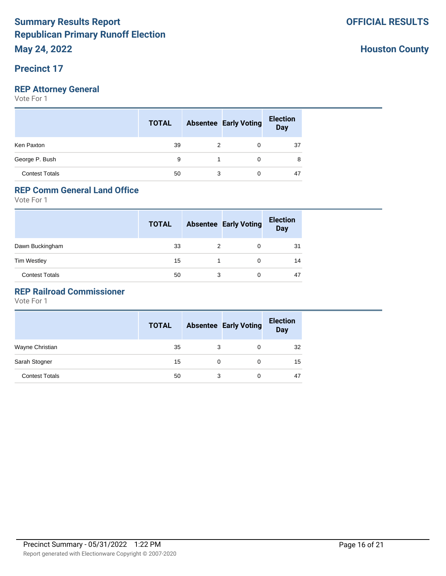### **Precinct 17**

## **REP Attorney General**

Vote For 1

|                       | <b>TOTAL</b> |   | <b>Absentee Early Voting</b> | <b>Election</b><br><b>Day</b> |
|-----------------------|--------------|---|------------------------------|-------------------------------|
| Ken Paxton            | 39           | 2 | 0                            | 37                            |
| George P. Bush        | 9            |   | 0                            | 8                             |
| <b>Contest Totals</b> | 50           | 3 | 0                            | 47                            |

# **REP Comm General Land Office**

Vote For 1

|                       | <b>TOTAL</b> |   | <b>Absentee Early Voting</b> | <b>Election</b><br><b>Day</b> |
|-----------------------|--------------|---|------------------------------|-------------------------------|
| Dawn Buckingham       | 33           | 2 |                              | 31                            |
| <b>Tim Westley</b>    | 15           |   |                              | 14                            |
| <b>Contest Totals</b> | 50           | 3 |                              | 47                            |

### **REP Railroad Commissioner**

|                       | <b>TOTAL</b> |          | <b>Absentee Early Voting</b> | <b>Election</b><br><b>Day</b> |
|-----------------------|--------------|----------|------------------------------|-------------------------------|
| Wayne Christian       | 35           | 3        | $\Omega$                     | 32                            |
| Sarah Stogner         | 15           | $\Omega$ | $\Omega$                     | 15                            |
| <b>Contest Totals</b> | 50           | 3        |                              | 47                            |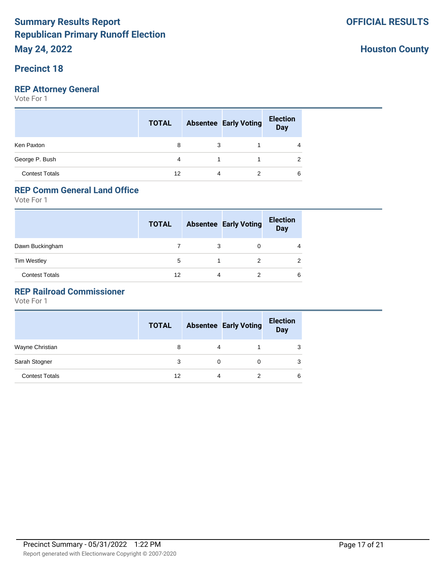### **Precinct 18**

## **REP Attorney General**

Vote For 1

|                       | <b>TOTAL</b> |    | <b>Absentee Early Voting</b> | <b>Election</b><br>Day |
|-----------------------|--------------|----|------------------------------|------------------------|
| Ken Paxton            | 8            | 3  |                              | 4                      |
| George P. Bush        | 4            | 1. |                              | 2                      |
| <b>Contest Totals</b> | 12           | 4  |                              | 6                      |

# **REP Comm General Land Office**

Vote For 1

|                       | <b>TOTAL</b> |   | <b>Absentee Early Voting</b> | <b>Election</b><br><b>Day</b> |
|-----------------------|--------------|---|------------------------------|-------------------------------|
| Dawn Buckingham       |              | 3 | 0                            | 4                             |
| <b>Tim Westley</b>    | 5            |   | 2                            |                               |
| <b>Contest Totals</b> | 12           | 4 | 2                            | 6                             |

### **REP Railroad Commissioner**

|                       | <b>TOTAL</b> |   | <b>Absentee Early Voting</b> | <b>Election</b><br><b>Day</b> |
|-----------------------|--------------|---|------------------------------|-------------------------------|
| Wayne Christian       | 8            | 4 |                              |                               |
| Sarah Stogner         | 3            | 0 |                              |                               |
| <b>Contest Totals</b> | 12           | 4 |                              | 6                             |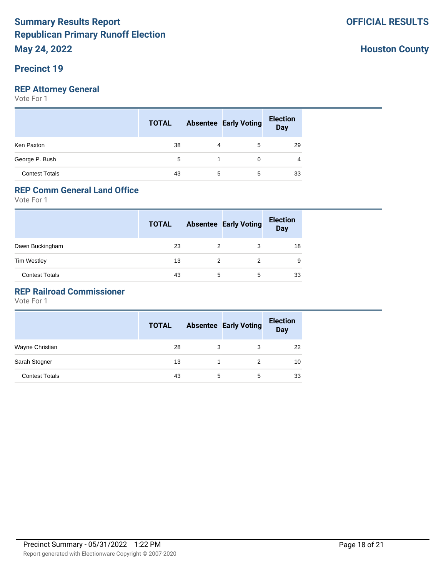### **Precinct 19**

## **REP Attorney General**

Vote For 1

|                       | <b>TOTAL</b> |   | <b>Absentee Early Voting</b> | <b>Election</b><br>Day |
|-----------------------|--------------|---|------------------------------|------------------------|
| Ken Paxton            | 38           | 4 | 5                            | 29                     |
| George P. Bush        | 5            |   | 0                            | 4                      |
| <b>Contest Totals</b> | 43           | 5 | 5                            | 33                     |

# **REP Comm General Land Office**

Vote For 1

|                       | <b>TOTAL</b> |   | <b>Absentee Early Voting</b> | <b>Election</b><br><b>Day</b> |
|-----------------------|--------------|---|------------------------------|-------------------------------|
| Dawn Buckingham       | 23           | 2 | 3                            | 18                            |
| <b>Tim Westley</b>    | 13           | 2 |                              | 9                             |
| <b>Contest Totals</b> | 43           | 5 | 5                            | 33                            |

### **REP Railroad Commissioner**

|                       | <b>TOTAL</b> |   | <b>Absentee Early Voting</b> | <b>Election</b><br>Day |
|-----------------------|--------------|---|------------------------------|------------------------|
| Wayne Christian       | 28           | 3 | 3                            | 22                     |
| Sarah Stogner         | 13           |   | 2                            | 10                     |
| <b>Contest Totals</b> | 43           | 5 | 5                            | 33                     |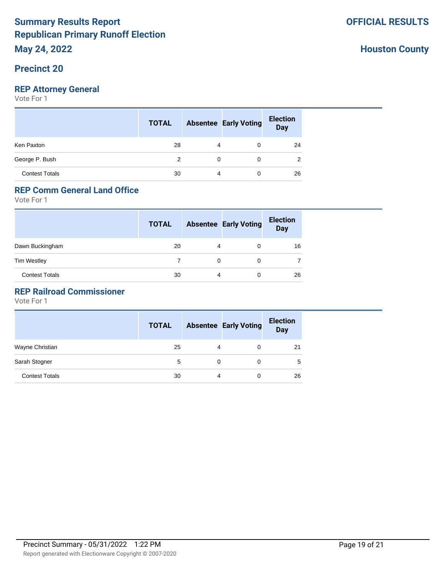### **Precinct 20**

## **REP Attorney General**

Vote For 1

|                       | <b>TOTAL</b> |          | <b>Absentee Early Voting</b> | <b>Election</b><br>Day |
|-----------------------|--------------|----------|------------------------------|------------------------|
| Ken Paxton            | 28           | 4        | 0                            | 24                     |
| George P. Bush        | 2            | $\Omega$ | 0                            | 2                      |
| <b>Contest Totals</b> | 30           | 4        | 0                            | 26                     |

# **REP Comm General Land Office**

Vote For 1

|                       | <b>TOTAL</b> |   | <b>Absentee Early Voting</b> | <b>Election</b><br><b>Day</b> |
|-----------------------|--------------|---|------------------------------|-------------------------------|
| Dawn Buckingham       | 20           | 4 | 0                            | 16                            |
| <b>Tim Westley</b>    |              | 0 | 0                            |                               |
| <b>Contest Totals</b> | 30           | 4 | 0                            | 26                            |

### **REP Railroad Commissioner**

Vote For 1

|                       | <b>TOTAL</b> |   | <b>Absentee Early Voting</b> | <b>Election</b><br><b>Day</b> |
|-----------------------|--------------|---|------------------------------|-------------------------------|
| Wayne Christian       | 25           | 4 | 0                            | 21                            |
| Sarah Stogner         | 5            |   |                              | 5                             |
| <b>Contest Totals</b> | 30           | 4 |                              | 26                            |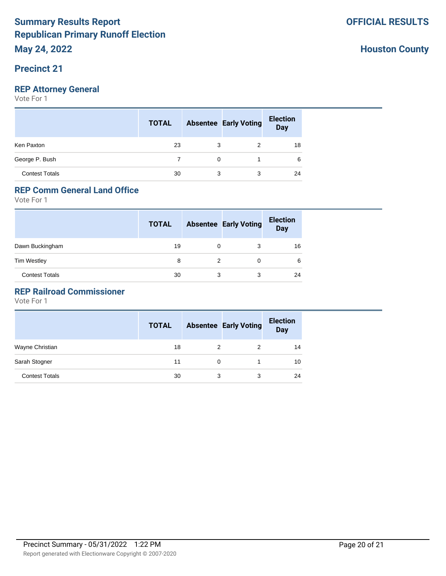### **Precinct 21**

## **REP Attorney General**

Vote For 1

|                       | <b>TOTAL</b> |          | <b>Absentee Early Voting</b> | <b>Election</b><br>Day |
|-----------------------|--------------|----------|------------------------------|------------------------|
| Ken Paxton            | 23           | 3        | 2                            | 18                     |
| George P. Bush        |              | $\Omega$ |                              | 6                      |
| <b>Contest Totals</b> | 30           | 3        | 3                            | 24                     |

# **REP Comm General Land Office**

Vote For 1

|                       | <b>TOTAL</b> |   | <b>Absentee Early Voting</b> | <b>Election</b><br><b>Day</b> |
|-----------------------|--------------|---|------------------------------|-------------------------------|
| Dawn Buckingham       | 19           | 0 |                              | 16                            |
| <b>Tim Westley</b>    | 8            | 2 |                              | 6                             |
| <b>Contest Totals</b> | 30           | 3 | 3                            | 24                            |

### **REP Railroad Commissioner**

|                       | <b>TOTAL</b> |          | <b>Absentee Early Voting</b> | <b>Election</b><br><b>Day</b> |
|-----------------------|--------------|----------|------------------------------|-------------------------------|
| Wayne Christian       | 18           | 2        | 2                            | 14                            |
| Sarah Stogner         | 11           | $\Omega$ |                              | 10                            |
| <b>Contest Totals</b> | 30           | 3        | 3                            | 24                            |